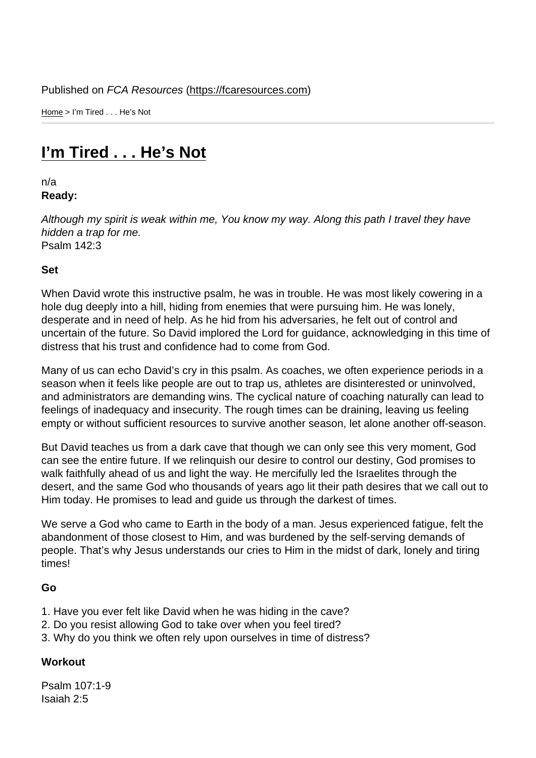Home > I'm Tired . . . He's Not

## [I'm](https://fcaresources.com/) Tired . . . He's Not

n/a [Ready:](https://fcaresources.com/devotional/i’m-tired-he’s-not) 

Although my spirit is weak within me, You know my way. Along this path I travel they have hidden a trap for me. Psalm 142:3

Set

When David wrote this instructive psalm, he was in trouble. He was most likely cowering in a hole dug deeply into a hill, hiding from enemies that were pursuing him. He was lonely, desperate and in need of help. As he hid from his adversaries, he felt out of control and uncertain of the future. So David implored the Lord for guidance, acknowledging in this time of distress that his trust and confidence had to come from God.

Many of us can echo David's cry in this psalm. As coaches, we often experience periods in a season when it feels like people are out to trap us, athletes are disinterested or uninvolved, and administrators are demanding wins. The cyclical nature of coaching naturally can lead to feelings of inadequacy and insecurity. The rough times can be draining, leaving us feeling empty or without sufficient resources to survive another season, let alone another off-season.

But David teaches us from a dark cave that though we can only see this very moment, God can see the entire future. If we relinquish our desire to control our destiny, God promises to walk faithfully ahead of us and light the way. He mercifully led the Israelites through the desert, and the same God who thousands of years ago lit their path desires that we call out to Him today. He promises to lead and guide us through the darkest of times.

We serve a God who came to Earth in the body of a man. Jesus experienced fatigue, felt the abandonment of those closest to Him, and was burdened by the self-serving demands of people. That's why Jesus understands our cries to Him in the midst of dark, lonely and tiring times!

Go

- 1. Have you ever felt like David when he was hiding in the cave?
- 2. Do you resist allowing God to take over when you feel tired?
- 3. Why do you think we often rely upon ourselves in time of distress?

**Workout** 

Psalm 107:1-9 Isaiah 2:5